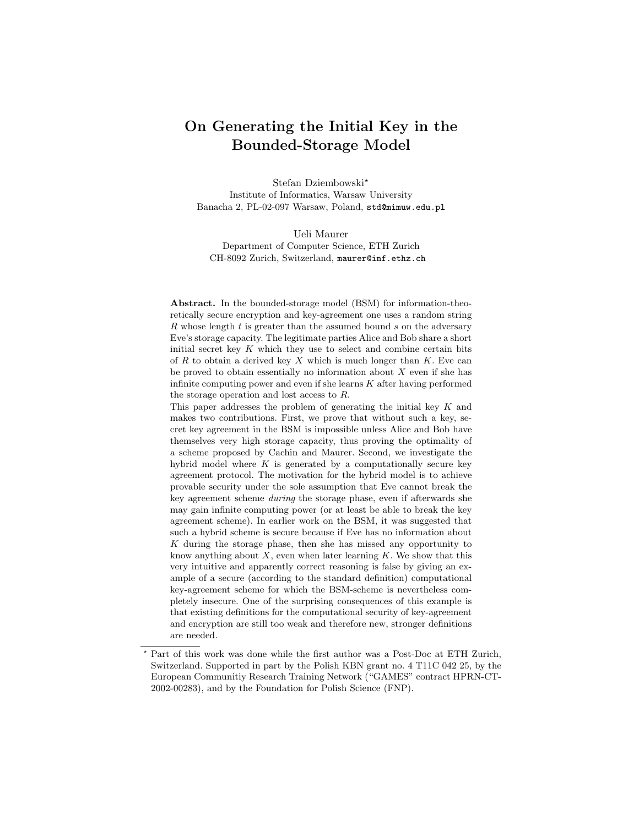# On Generating the Initial Key in the Bounded-Storage Model

Stefan Dziembowski? Institute of Informatics, Warsaw University Banacha 2, PL-02-097 Warsaw, Poland, std@mimuw.edu.pl

Ueli Maurer Department of Computer Science, ETH Zurich CH-8092 Zurich, Switzerland, maurer@inf.ethz.ch

Abstract. In the bounded-storage model (BSM) for information-theoretically secure encryption and key-agreement one uses a random string R whose length t is greater than the assumed bound s on the adversary Eve's storage capacity. The legitimate parties Alice and Bob share a short initial secret key  $K$  which they use to select and combine certain bits of R to obtain a derived key X which is much longer than  $K$ . Eve can be proved to obtain essentially no information about  $X$  even if she has infinite computing power and even if she learns  $K$  after having performed the storage operation and lost access to R.

This paper addresses the problem of generating the initial key  $K$  and makes two contributions. First, we prove that without such a key, secret key agreement in the BSM is impossible unless Alice and Bob have themselves very high storage capacity, thus proving the optimality of a scheme proposed by Cachin and Maurer. Second, we investigate the hybrid model where  $K$  is generated by a computationally secure key agreement protocol. The motivation for the hybrid model is to achieve provable security under the sole assumption that Eve cannot break the key agreement scheme during the storage phase, even if afterwards she may gain infinite computing power (or at least be able to break the key agreement scheme). In earlier work on the BSM, it was suggested that such a hybrid scheme is secure because if Eve has no information about  $K$  during the storage phase, then she has missed any opportunity to know anything about  $X$ , even when later learning  $K$ . We show that this very intuitive and apparently correct reasoning is false by giving an example of a secure (according to the standard definition) computational key-agreement scheme for which the BSM-scheme is nevertheless completely insecure. One of the surprising consequences of this example is that existing definitions for the computational security of key-agreement and encryption are still too weak and therefore new, stronger definitions are needed.

<sup>?</sup> Part of this work was done while the first author was a Post-Doc at ETH Zurich, Switzerland. Supported in part by the Polish KBN grant no. 4 T11C 042 25, by the European Communitiy Research Training Network ("GAMES" contract HPRN-CT-2002-00283), and by the Foundation for Polish Science (FNP).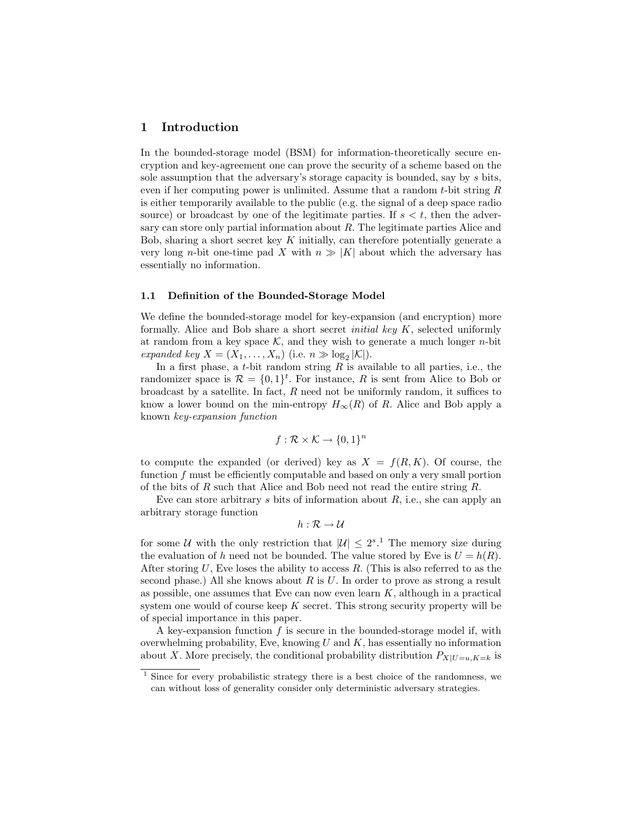# 1 Introduction

In the bounded-storage model (BSM) for information-theoretically secure encryption and key-agreement one can prove the security of a scheme based on the sole assumption that the adversary's storage capacity is bounded, say by s bits, even if her computing power is unlimited. Assume that a random  $t$ -bit string  $R$ is either temporarily available to the public (e.g. the signal of a deep space radio source) or broadcast by one of the legitimate parties. If  $s < t$ , then the adversary can store only partial information about R. The legitimate parties Alice and Bob, sharing a short secret key  $K$  initially, can therefore potentially generate a very long n-bit one-time pad X with  $n \gg |K|$  about which the adversary has essentially no information.

#### 1.1 Definition of the Bounded-Storage Model

We define the bounded-storage model for key-expansion (and encryption) more formally. Alice and Bob share a short secret *initial key K*, selected uniformly at random from a key space  $K$ , and they wish to generate a much longer *n*-bit expanded key  $X = (X_1, \ldots, X_n)$  (i.e.  $n \gg \log_2 |\mathcal{K}|$ ).

In a first phase, a  $t$ -bit random string  $R$  is available to all parties, i.e., the randomizer space is  $\mathcal{R} = \{0, 1\}^t$ . For instance, R is sent from Alice to Bob or broadcast by a satellite. In fact,  $R$  need not be uniformly random, it suffices to know a lower bound on the min-entropy  $H_{\infty}(R)$  of R. Alice and Bob apply a known key-expansion function

$$
f: \mathcal{R} \times \mathcal{K} \to \{0,1\}^n
$$

to compute the expanded (or derived) key as  $X = f(R, K)$ . Of course, the function f must be efficiently computable and based on only a very small portion of the bits of R such that Alice and Bob need not read the entire string  $R$ .

Eve can store arbitrary  $s$  bits of information about  $R$ , i.e., she can apply an arbitrary storage function

$$
h:\mathcal{R}\to\mathcal{U}
$$

for some U with the only restriction that  $|U| \leq 2^{s}$ . The memory size during the evaluation of h need not be bounded. The value stored by Eve is  $U = h(R)$ . After storing  $U$ , Eve loses the ability to access  $R$ . (This is also referred to as the second phase.) All she knows about  $R$  is  $U$ . In order to prove as strong a result as possible, one assumes that Eve can now even learn  $K$ , although in a practical system one would of course keep  $K$  secret. This strong security property will be of special importance in this paper.

A key-expansion function  $f$  is secure in the bounded-storage model if, with overwhelming probability, Eve, knowing  $U$  and  $K$ , has essentially no information about X. More precisely, the conditional probability distribution  $P_{X|U=u,K=k}$  is

<sup>&</sup>lt;sup>1</sup> Since for every probabilistic strategy there is a best choice of the randomness, we can without loss of generality consider only deterministic adversary strategies.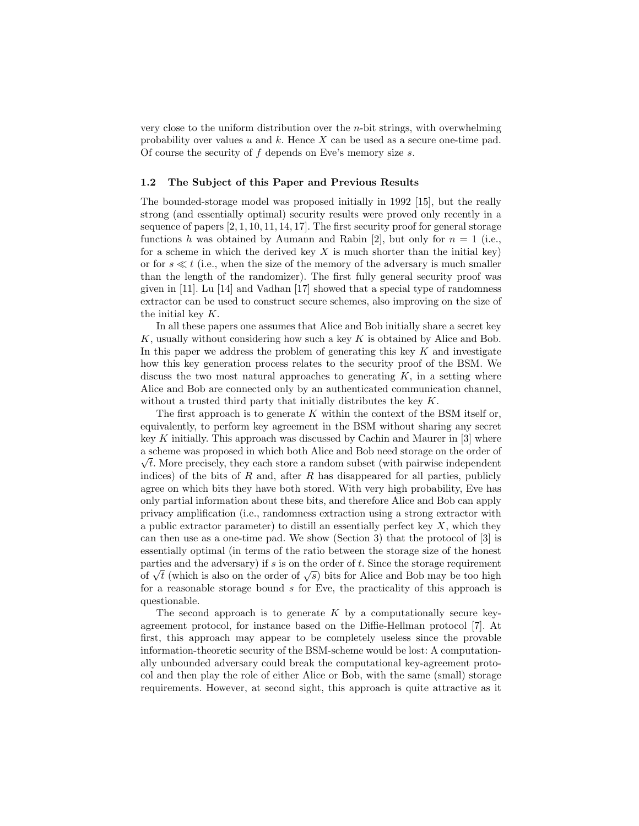very close to the uniform distribution over the n-bit strings, with overwhelming probability over values u and k. Hence  $X$  can be used as a secure one-time pad. Of course the security of  $f$  depends on Eve's memory size  $s$ .

#### 1.2 The Subject of this Paper and Previous Results

The bounded-storage model was proposed initially in 1992 [15], but the really strong (and essentially optimal) security results were proved only recently in a sequence of papers  $[2, 1, 10, 11, 14, 17]$ . The first security proof for general storage functions h was obtained by Aumann and Rabin [2], but only for  $n = 1$  (i.e., for a scheme in which the derived key  $X$  is much shorter than the initial key) or for  $s \ll t$  (i.e., when the size of the memory of the adversary is much smaller than the length of the randomizer). The first fully general security proof was given in [11]. Lu [14] and Vadhan [17] showed that a special type of randomness extractor can be used to construct secure schemes, also improving on the size of the initial key K.

In all these papers one assumes that Alice and Bob initially share a secret key  $K$ , usually without considering how such a key  $K$  is obtained by Alice and Bob. In this paper we address the problem of generating this key  $K$  and investigate how this key generation process relates to the security proof of the BSM. We discuss the two most natural approaches to generating  $K$ , in a setting where Alice and Bob are connected only by an authenticated communication channel, without a trusted third party that initially distributes the key K.

The first approach is to generate  $K$  within the context of the BSM itself or, equivalently, to perform key agreement in the BSM without sharing any secret key  $K$  initially. This approach was discussed by Cachin and Maurer in  $[3]$  where a scheme was proposed in which both Alice and Bob need storage on the order of √  $\sqrt{t}$ . More precisely, they each store a random subset (with pairwise independent indices) of the bits of R and, after R has disappeared for all parties, publicly agree on which bits they have both stored. With very high probability, Eve has only partial information about these bits, and therefore Alice and Bob can apply privacy amplification (i.e., randomness extraction using a strong extractor with a public extractor parameter) to distill an essentially perfect key  $X$ , which they can then use as a one-time pad. We show (Section 3) that the protocol of [3] is essentially optimal (in terms of the ratio between the storage size of the honest parties and the adversary) if s is on the order of t. Since the storage requirement parties and the adversary) if s is on the order of t. Since the storage requirement<br>of  $\sqrt{t}$  (which is also on the order of  $\sqrt{s}$ ) bits for Alice and Bob may be too high for a reasonable storage bound s for Eve, the practicality of this approach is questionable.

The second approach is to generate  $K$  by a computationally secure keyagreement protocol, for instance based on the Diffie-Hellman protocol [7]. At first, this approach may appear to be completely useless since the provable information-theoretic security of the BSM-scheme would be lost: A computationally unbounded adversary could break the computational key-agreement protocol and then play the role of either Alice or Bob, with the same (small) storage requirements. However, at second sight, this approach is quite attractive as it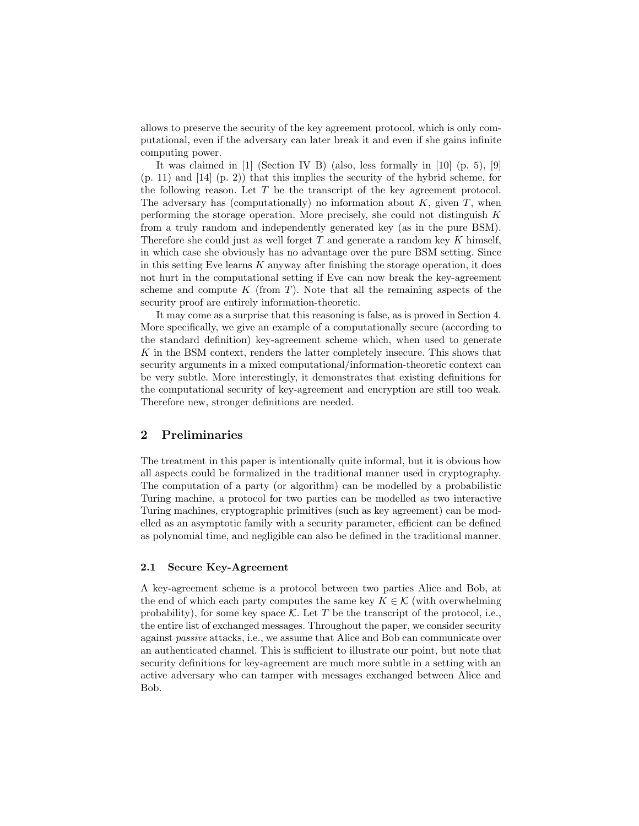allows to preserve the security of the key agreement protocol, which is only computational, even if the adversary can later break it and even if she gains infinite computing power.

It was claimed in [1] (Section IV B) (also, less formally in [10] (p. 5), [9] (p. 11) and [14] (p. 2)) that this implies the security of the hybrid scheme, for the following reason. Let  $T$  be the transcript of the key agreement protocol. The adversary has (computationally) no information about  $K$ , given  $T$ , when performing the storage operation. More precisely, she could not distinguish  $K$ from a truly random and independently generated key (as in the pure BSM). Therefore she could just as well forget  $T$  and generate a random key  $K$  himself, in which case she obviously has no advantage over the pure BSM setting. Since in this setting Eve learns  $K$  anyway after finishing the storage operation, it does not hurt in the computational setting if Eve can now break the key-agreement scheme and compute  $K$  (from  $T$ ). Note that all the remaining aspects of the security proof are entirely information-theoretic.

It may come as a surprise that this reasoning is false, as is proved in Section 4. More specifically, we give an example of a computationally secure (according to the standard definition) key-agreement scheme which, when used to generate K in the BSM context, renders the latter completely insecure. This shows that security arguments in a mixed computational/information-theoretic context can be very subtle. More interestingly, it demonstrates that existing definitions for the computational security of key-agreement and encryption are still too weak. Therefore new, stronger definitions are needed.

### 2 Preliminaries

The treatment in this paper is intentionally quite informal, but it is obvious how all aspects could be formalized in the traditional manner used in cryptography. The computation of a party (or algorithm) can be modelled by a probabilistic Turing machine, a protocol for two parties can be modelled as two interactive Turing machines, cryptographic primitives (such as key agreement) can be modelled as an asymptotic family with a security parameter, efficient can be defined as polynomial time, and negligible can also be defined in the traditional manner.

### 2.1 Secure Key-Agreement

A key-agreement scheme is a protocol between two parties Alice and Bob, at the end of which each party computes the same key  $K \in \mathcal{K}$  (with overwhelming probability), for some key space  $K$ . Let T be the transcript of the protocol, i.e., the entire list of exchanged messages. Throughout the paper, we consider security against passive attacks, i.e., we assume that Alice and Bob can communicate over an authenticated channel. This is sufficient to illustrate our point, but note that security definitions for key-agreement are much more subtle in a setting with an active adversary who can tamper with messages exchanged between Alice and Bob.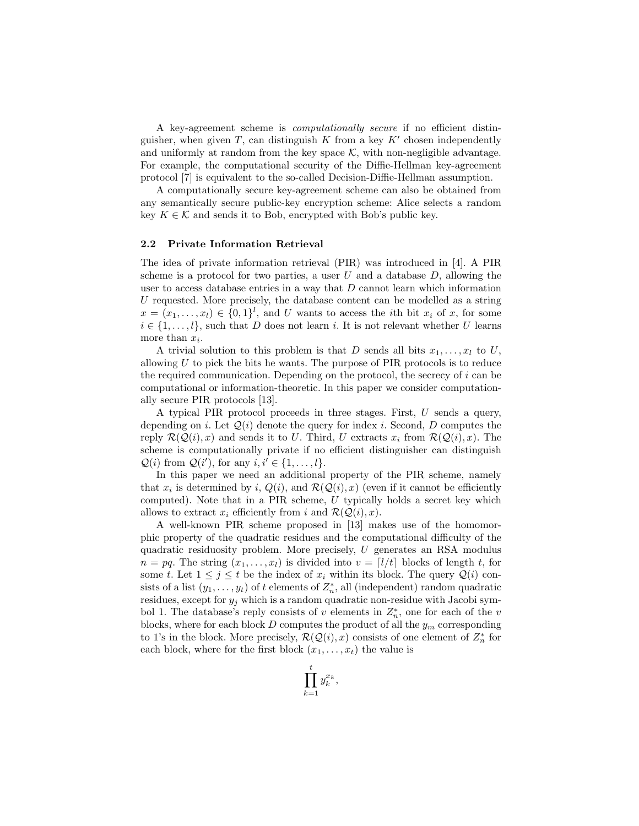A key-agreement scheme is computationally secure if no efficient distinguisher, when given  $T$ , can distinguish  $K$  from a key  $K'$  chosen independently and uniformly at random from the key space  $K$ , with non-negligible advantage. For example, the computational security of the Diffie-Hellman key-agreement protocol [7] is equivalent to the so-called Decision-Diffie-Hellman assumption.

A computationally secure key-agreement scheme can also be obtained from any semantically secure public-key encryption scheme: Alice selects a random key  $K \in \mathcal{K}$  and sends it to Bob, encrypted with Bob's public key.

#### 2.2 Private Information Retrieval

The idea of private information retrieval (PIR) was introduced in [4]. A PIR scheme is a protocol for two parties, a user  $U$  and a database  $D$ , allowing the user to access database entries in a way that  $D$  cannot learn which information U requested. More precisely, the database content can be modelled as a string  $x = (x_1, \ldots, x_l) \in \{0,1\}^l$ , and U wants to access the *i*th bit  $x_i$  of x, for some  $i \in \{1, \ldots, l\}$ , such that D does not learn i. It is not relevant whether U learns more than  $x_i$ .

A trivial solution to this problem is that D sends all bits  $x_1, \ldots, x_l$  to U, allowing U to pick the bits he wants. The purpose of PIR protocols is to reduce the required communication. Depending on the protocol, the secrecy of  $i$  can be computational or information-theoretic. In this paper we consider computationally secure PIR protocols [13].

A typical PIR protocol proceeds in three stages. First, U sends a query, depending on i. Let  $\mathcal{Q}(i)$  denote the query for index i. Second, D computes the reply  $\mathcal{R}(\mathcal{Q}(i),x)$  and sends it to U. Third, U extracts  $x_i$  from  $\mathcal{R}(\mathcal{Q}(i),x)$ . The scheme is computationally private if no efficient distinguisher can distinguish  $\mathcal{Q}(i)$  from  $\mathcal{Q}(i')$ , for any  $i, i' \in \{1, \ldots, l\}.$ 

In this paper we need an additional property of the PIR scheme, namely that  $x_i$  is determined by  $i$ ,  $Q(i)$ , and  $\mathcal{R}(\mathcal{Q}(i), x)$  (even if it cannot be efficiently computed). Note that in a PIR scheme, U typically holds a secret key which allows to extract  $x_i$  efficiently from i and  $\mathcal{R}(\mathcal{Q}(i), x)$ .

A well-known PIR scheme proposed in [13] makes use of the homomorphic property of the quadratic residues and the computational difficulty of the quadratic residuosity problem. More precisely, U generates an RSA modulus  $n = pq$ . The string  $(x_1, \ldots, x_l)$  is divided into  $v = \lfloor l/t \rfloor$  blocks of length t, for some t. Let  $1 \leq j \leq t$  be the index of  $x_i$  within its block. The query  $\mathcal{Q}(i)$  consists of a list  $(y_1, \ldots, y_t)$  of t elements of  $Z_n^*$ , all (independent) random quadratic residues, except for  $y_j$  which is a random quadratic non-residue with Jacobi symbol 1. The database's reply consists of v elements in  $Z_n^*$ , one for each of the v blocks, where for each block  $D$  computes the product of all the  $y_m$  corresponding to 1's in the block. More precisely,  $\mathcal{R}(\mathcal{Q}(i),x)$  consists of one element of  $Z_n^*$  for each block, where for the first block  $(x_1, \ldots, x_t)$  the value is

$$
\prod_{k=1}^t y_k^{x_k},
$$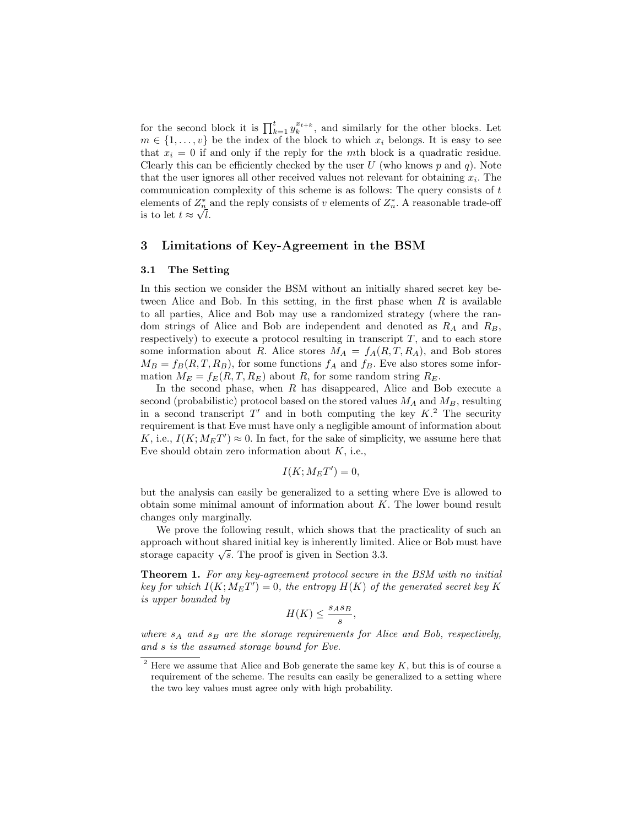for the second block it is  $\prod_{k=1}^{t} y_k^{x_{t+k}}$ , and similarly for the other blocks. Let  $m \in \{1, \ldots, v\}$  be the index of the block to which  $x_i$  belongs. It is easy to see that  $x_i = 0$  if and only if the reply for the mth block is a quadratic residue. Clearly this can be efficiently checked by the user  $U$  (who knows  $p$  and  $q$ ). Note that the user ignores all other received values not relevant for obtaining  $x_i$ . The communication complexity of this scheme is as follows: The query consists of  $t$ elements of  $Z_n^*$  and the reply consists of v elements of  $Z_n^*$ . A reasonable trade-off is to let  $t \approx$  $\mathcal{L}_\eta$ l.

# 3 Limitations of Key-Agreement in the BSM

### 3.1 The Setting

In this section we consider the BSM without an initially shared secret key between Alice and Bob. In this setting, in the first phase when  $R$  is available to all parties, Alice and Bob may use a randomized strategy (where the random strings of Alice and Bob are independent and denoted as  $R_A$  and  $R_B$ , respectively) to execute a protocol resulting in transcript  $T$ , and to each store some information about R. Alice stores  $M_A = f_A(R, T, R_A)$ , and Bob stores  $M_B = f_B(R, T, R_B)$ , for some functions  $f_A$  and  $f_B$ . Eve also stores some information  $M_E = f_E(R, T, R_E)$  about R, for some random string  $R_E$ .

In the second phase, when  $R$  has disappeared, Alice and Bob execute a second (probabilistic) protocol based on the stored values  $M_A$  and  $M_B$ , resulting in a second transcript  $T'$  and in both computing the key  $K<sup>2</sup>$ . The security requirement is that Eve must have only a negligible amount of information about K, i.e.,  $I(K; M_E T') \approx 0$ . In fact, for the sake of simplicity, we assume here that Eve should obtain zero information about  $K$ , i.e.,

$$
I(K;M_E T')=0,
$$

but the analysis can easily be generalized to a setting where Eve is allowed to obtain some minimal amount of information about K. The lower bound result changes only marginally.

We prove the following result, which shows that the practicality of such an approach without shared initial key is inherently limited. Alice or Bob must have approach without shared initial key is inherently influed<br>storage capacity  $\sqrt{s}$ . The proof is given in Section 3.3.

**Theorem 1.** For any key-agreement protocol secure in the BSM with no initial key for which  $I(K; M_E T') = 0$ , the entropy  $H(K)$  of the generated secret key K is upper bounded by

$$
H(K) \le \frac{s_A s_B}{s},
$$

where  $s_A$  and  $s_B$  are the storage requirements for Alice and Bob, respectively, and s is the assumed storage bound for Eve.

 $2$  Here we assume that Alice and Bob generate the same key K, but this is of course a requirement of the scheme. The results can easily be generalized to a setting where the two key values must agree only with high probability.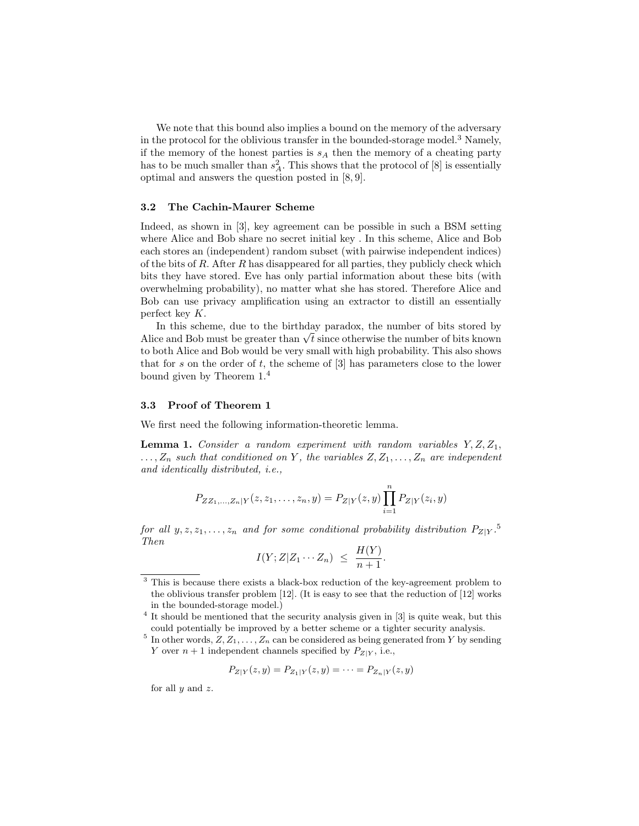We note that this bound also implies a bound on the memory of the adversary in the protocol for the oblivious transfer in the bounded-storage model.<sup>3</sup> Namely, if the memory of the honest parties is  $s_A$  then the memory of a cheating party has to be much smaller than  $s_A^2$ . This shows that the protocol of [8] is essentially optimal and answers the question posted in [8, 9].

#### 3.2 The Cachin-Maurer Scheme

Indeed, as shown in [3], key agreement can be possible in such a BSM setting where Alice and Bob share no secret initial key . In this scheme, Alice and Bob each stores an (independent) random subset (with pairwise independent indices) of the bits of R. After R has disappeared for all parties, they publicly check which bits they have stored. Eve has only partial information about these bits (with overwhelming probability), no matter what she has stored. Therefore Alice and Bob can use privacy amplification using an extractor to distill an essentially perfect key K.

In this scheme, due to the birthday paradox, the number of bits stored by In this scheme, due to the birthday paradox, the number of bits stored by Alice and Bob must be greater than  $\sqrt{t}$  since otherwise the number of bits known to both Alice and Bob would be very small with high probability. This also shows that for s on the order of t, the scheme of  $[3]$  has parameters close to the lower bound given by Theorem 1.<sup>4</sup>

### 3.3 Proof of Theorem 1

We first need the following information-theoretic lemma.

**Lemma 1.** Consider a random experiment with random variables  $Y, Z, Z_1$ ,  $\ldots, Z_n$  such that conditioned on Y, the variables  $Z, Z_1, \ldots, Z_n$  are independent and identically distributed, i.e.,

$$
P_{ZZ_1,...,Z_n|Y}(z, z_1,..., z_n, y) = P_{Z|Y}(z, y) \prod_{i=1}^n P_{Z|Y}(z_i, y)
$$

for all  $y, z, z_1, \ldots, z_n$  and for some conditional probability distribution  $P_{Z|Y}$ .<sup>5</sup> Then

$$
I(Y; Z|Z_1 \cdots Z_n) \leq \frac{H(Y)}{n+1}
$$

.

$$
P_{Z|Y}(z,y) = P_{Z_1|Y}(z,y) = \cdots = P_{Z_n|Y}(z,y)
$$

for all  $y$  and  $z$ .

<sup>&</sup>lt;sup>3</sup> This is because there exists a black-box reduction of the key-agreement problem to the oblivious transfer problem  $[12]$ . (It is easy to see that the reduction of  $[12]$  works in the bounded-storage model.)

<sup>&</sup>lt;sup>4</sup> It should be mentioned that the security analysis given in [3] is quite weak, but this could potentially be improved by a better scheme or a tighter security analysis.

<sup>&</sup>lt;sup>5</sup> In other words,  $Z, Z_1, \ldots, Z_n$  can be considered as being generated from Y by sending Y over  $n+1$  independent channels specified by  $P_{Z|Y}$ , i.e.,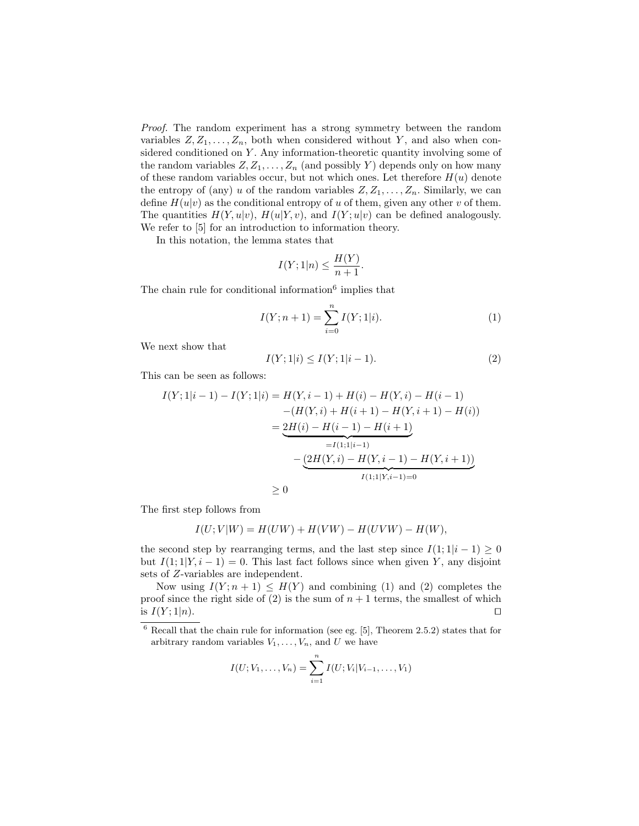Proof. The random experiment has a strong symmetry between the random variables  $Z, Z_1, \ldots, Z_n$ , both when considered without Y, and also when considered conditioned on Y. Any information-theoretic quantity involving some of the random variables  $Z, Z_1, \ldots, Z_n$  (and possibly Y) depends only on how many of these random variables occur, but not which ones. Let therefore  $H(u)$  denote the entropy of (any) u of the random variables  $Z, Z_1, \ldots, Z_n$ . Similarly, we can define  $H(u|v)$  as the conditional entropy of u of them, given any other v of them. The quantities  $H(Y, u|v)$ ,  $H(u|Y, v)$ , and  $I(Y; u|v)$  can be defined analogously. We refer to  $[5]$  for an introduction to information theory.

In this notation, the lemma states that

$$
I(Y;1|n) \le \frac{H(Y)}{n+1}.
$$

The chain rule for conditional information<sup>6</sup> implies that

$$
I(Y; n+1) = \sum_{i=0}^{n} I(Y; 1|i).
$$
 (1)

We next show that

$$
I(Y; 1|i) \le I(Y; 1|i-1).
$$
 (2)

This can be seen as follows:

$$
I(Y; 1|i - 1) - I(Y; 1|i) = H(Y, i - 1) + H(i) - H(Y, i) - H(i - 1)
$$
  
\n
$$
- (H(Y, i) + H(i + 1) - H(Y, i + 1) - H(i))
$$
  
\n
$$
= 2H(i) - H(i - 1) - H(i + 1)
$$
  
\n
$$
- (2H(Y, i) - H(Y, i - 1) - H(Y, i + 1))
$$
  
\n
$$
I(1;1|Y,i-1)=0
$$
  
\n
$$
\geq 0
$$

The first step follows from

$$
I(U;V|W) = H(UW) + H(VW) - H(UVW) - H(W),
$$

the second step by rearranging terms, and the last step since  $I(1; 1|i - 1) \geq 0$ but  $I(1; 1|Y, i - 1) = 0$ . This last fact follows since when given Y, any disjoint sets of Z-variables are independent.

Now using  $I(Y; n + 1) \leq H(Y)$  and combining (1) and (2) completes the proof since the right side of (2) is the sum of  $n + 1$  terms, the smallest of which is  $I(Y; 1|n)$ .

 $6$  Recall that the chain rule for information (see eg. [5], Theorem 2.5.2) states that for arbitrary random variables  $V_1, \ldots, V_n$ , and U we have

$$
I(U;V_1,\ldots,V_n) = \sum_{i=1}^n I(U;V_i|V_{i-1},\ldots,V_1)
$$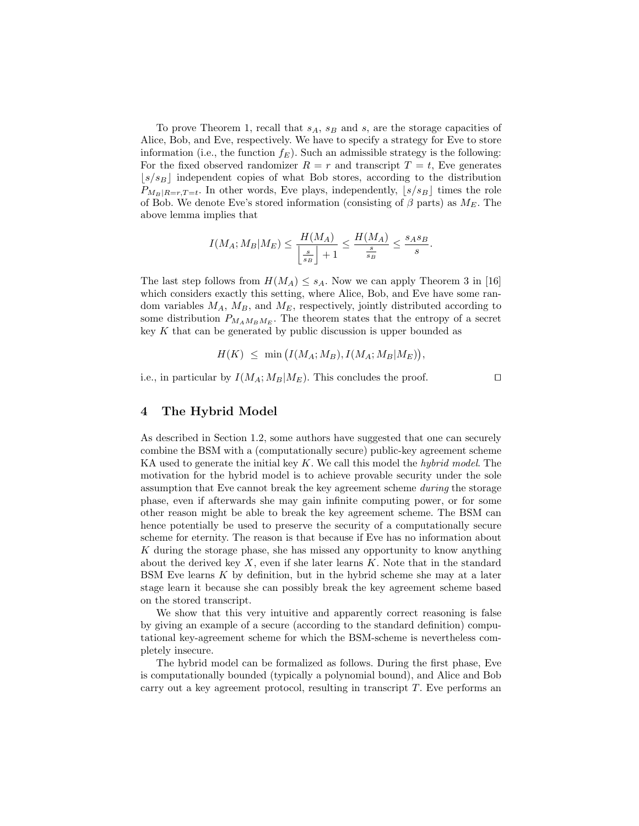To prove Theorem 1, recall that  $s_A$ ,  $s_B$  and s, are the storage capacities of Alice, Bob, and Eve, respectively. We have to specify a strategy for Eve to store information (i.e., the function  $f_E$ ). Such an admissible strategy is the following: For the fixed observed randomizer  $R = r$  and transcript  $T = t$ , Eve generates  $|s/s_B|$  independent copies of what Bob stores, according to the distribution  $P_{M_B|R=r,T=t}$ . In other words, Eve plays, independently,  $\lfloor s/s_B \rfloor$  times the role of Bob. We denote Eve's stored information (consisting of  $\beta$  parts) as  $M_E$ . The above lemma implies that

$$
I(M_A; M_B|M_E) \leq \frac{H(M_A)}{\left\lfloor \frac{s}{s_B} \right\rfloor + 1} \leq \frac{H(M_A)}{\frac{s}{s_B}} \leq \frac{s_A s_B}{s}.
$$

The last step follows from  $H(M_A) \leq s_A$ . Now we can apply Theorem 3 in [16] which considers exactly this setting, where Alice, Bob, and Eve have some random variables  $M_A$ ,  $M_B$ , and  $M_E$ , respectively, jointly distributed according to some distribution  $P_{M_A M_B M_E}$ . The theorem states that the entropy of a secret key  $K$  that can be generated by public discussion is upper bounded as

$$
H(K) \leq \min\big(I(M_A;M_B), I(M_A;M_B|M_E)\big),
$$

i.e., in particular by  $I(M_A; M_B|M_E)$ . This concludes the proof.  $\square$ 

# 4 The Hybrid Model

As described in Section 1.2, some authors have suggested that one can securely combine the BSM with a (computationally secure) public-key agreement scheme KA used to generate the initial key  $K$ . We call this model the *hybrid model*. The motivation for the hybrid model is to achieve provable security under the sole assumption that Eve cannot break the key agreement scheme during the storage phase, even if afterwards she may gain infinite computing power, or for some other reason might be able to break the key agreement scheme. The BSM can hence potentially be used to preserve the security of a computationally secure scheme for eternity. The reason is that because if Eve has no information about K during the storage phase, she has missed any opportunity to know anything about the derived key  $X$ , even if she later learns  $K$ . Note that in the standard BSM Eve learns K by definition, but in the hybrid scheme she may at a later stage learn it because she can possibly break the key agreement scheme based on the stored transcript.

We show that this very intuitive and apparently correct reasoning is false by giving an example of a secure (according to the standard definition) computational key-agreement scheme for which the BSM-scheme is nevertheless completely insecure.

The hybrid model can be formalized as follows. During the first phase, Eve is computationally bounded (typically a polynomial bound), and Alice and Bob carry out a key agreement protocol, resulting in transcript T. Eve performs an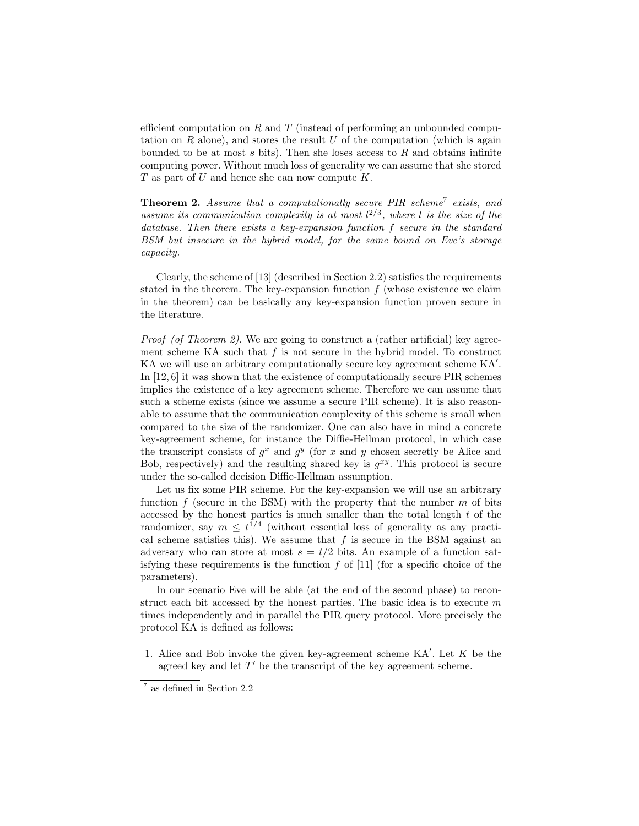efficient computation on R and T (instead of performing an unbounded computation on  $R$  alone), and stores the result  $U$  of the computation (which is again bounded to be at most s bits). Then she loses access to  $R$  and obtains infinite computing power. Without much loss of generality we can assume that she stored  $T$  as part of  $U$  and hence she can now compute  $K$ .

**Theorem 2.** Assume that a computationally secure  $PIR$  scheme<sup>7</sup> exists, and assume its communication complexity is at most  $l^{2/3}$ , where l is the size of the database. Then there exists a key-expansion function f secure in the standard BSM but insecure in the hybrid model, for the same bound on Eve's storage capacity.

Clearly, the scheme of [13] (described in Section 2.2) satisfies the requirements stated in the theorem. The key-expansion function  $f$  (whose existence we claim in the theorem) can be basically any key-expansion function proven secure in the literature.

Proof (of Theorem 2). We are going to construct a (rather artificial) key agreement scheme KA such that  $f$  is not secure in the hybrid model. To construct KA we will use an arbitrary computationally secure key agreement scheme KA'. In [12, 6] it was shown that the existence of computationally secure PIR schemes implies the existence of a key agreement scheme. Therefore we can assume that such a scheme exists (since we assume a secure PIR scheme). It is also reasonable to assume that the communication complexity of this scheme is small when compared to the size of the randomizer. One can also have in mind a concrete key-agreement scheme, for instance the Diffie-Hellman protocol, in which case the transcript consists of  $g^x$  and  $g^y$  (for x and y chosen secretly be Alice and Bob, respectively) and the resulting shared key is  $g^{xy}$ . This protocol is secure under the so-called decision Diffie-Hellman assumption.

Let us fix some PIR scheme. For the key-expansion we will use an arbitrary function  $f$  (secure in the BSM) with the property that the number  $m$  of bits accessed by the honest parties is much smaller than the total length  $t$  of the randomizer, say  $m \leq t^{1/4}$  (without essential loss of generality as any practical scheme satisfies this). We assume that  $f$  is secure in the BSM against an adversary who can store at most  $s = t/2$  bits. An example of a function satisfying these requirements is the function  $f$  of [11] (for a specific choice of the parameters).

In our scenario Eve will be able (at the end of the second phase) to reconstruct each bit accessed by the honest parties. The basic idea is to execute  $m$ times independently and in parallel the PIR query protocol. More precisely the protocol KA is defined as follows:

1. Alice and Bob invoke the given key-agreement scheme  $KA'$ . Let  $K$  be the agreed key and let  $T'$  be the transcript of the key agreement scheme.

<sup>7</sup> as defined in Section 2.2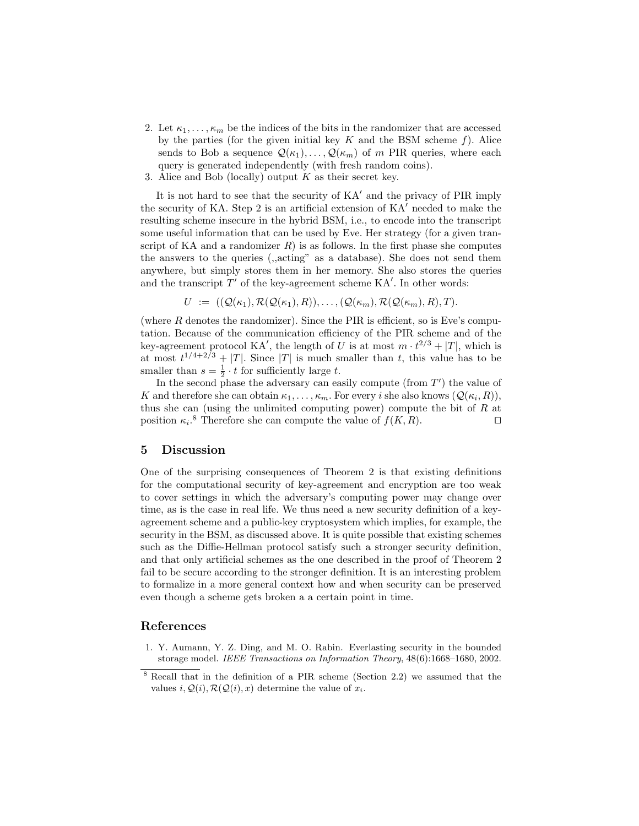- 2. Let  $\kappa_1, \ldots, \kappa_m$  be the indices of the bits in the randomizer that are accessed by the parties (for the given initial key  $K$  and the BSM scheme  $f$ ). Alice sends to Bob a sequence  $\mathcal{Q}(\kappa_1), \ldots, \mathcal{Q}(\kappa_m)$  of m PIR queries, where each query is generated independently (with fresh random coins).
- 3. Alice and Bob (locally) output  $K$  as their secret key.

It is not hard to see that the security of KA' and the privacy of PIR imply the security of KA. Step 2 is an artificial extension of  $KA'$  needed to make the resulting scheme insecure in the hybrid BSM, i.e., to encode into the transcript some useful information that can be used by Eve. Her strategy (for a given transcript of KA and a randomizer  $R$ ) is as follows. In the first phase she computes the answers to the queries (,,acting" as a database). She does not send them anywhere, but simply stores them in her memory. She also stores the queries and the transcript  $T'$  of the key-agreement scheme KA'. In other words:

 $U := ((\mathcal{Q}(\kappa_1), \mathcal{R}(\mathcal{Q}(\kappa_1), R)), \ldots, (\mathcal{Q}(\kappa_m), \mathcal{R}(\mathcal{Q}(\kappa_m), R), T).$ 

(where  $R$  denotes the randomizer). Since the PIR is efficient, so is Eve's computation. Because of the communication efficiency of the PIR scheme and of the key-agreement protocol KA', the length of U is at most  $m \cdot t^{2/3} + |T|$ , which is at most  $t^{1/4+2/3} + |T|$ . Since  $|T|$  is much smaller than t, this value has to be smaller than  $s = \frac{1}{2} \cdot t$  for sufficiently large t.

In the second phase the adversary can easily compute (from  $T'$ ) the value of K and therefore she can obtain  $\kappa_1, \ldots, \kappa_m$ . For every i she also knows  $(Q(\kappa_i, R)),$ thus she can (using the unlimited computing power) compute the bit of  $R$  at position  $\kappa_i$ .<sup>8</sup> Therefore she can compute the value of  $f(K, R)$ .

# 5 Discussion

One of the surprising consequences of Theorem 2 is that existing definitions for the computational security of key-agreement and encryption are too weak to cover settings in which the adversary's computing power may change over time, as is the case in real life. We thus need a new security definition of a keyagreement scheme and a public-key cryptosystem which implies, for example, the security in the BSM, as discussed above. It is quite possible that existing schemes such as the Diffie-Hellman protocol satisfy such a stronger security definition, and that only artificial schemes as the one described in the proof of Theorem 2 fail to be secure according to the stronger definition. It is an interesting problem to formalize in a more general context how and when security can be preserved even though a scheme gets broken a a certain point in time.

### References

1. Y. Aumann, Y. Z. Ding, and M. O. Rabin. Everlasting security in the bounded storage model. IEEE Transactions on Information Theory, 48(6):1668–1680, 2002.

<sup>8</sup> Recall that in the definition of a PIR scheme (Section 2.2) we assumed that the values i,  $Q(i)$ ,  $R(Q(i), x)$  determine the value of  $x_i$ .